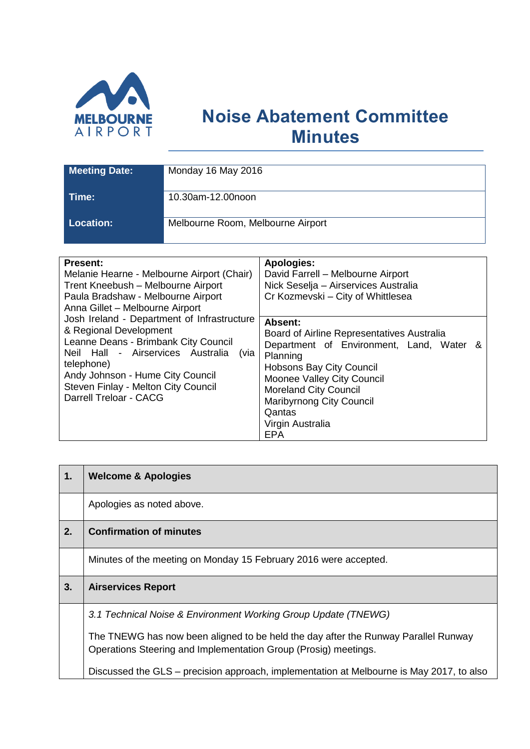

# **Noise Abatement Committee Minutes**

| <b>Meeting Date:</b> | Monday 16 May 2016                |
|----------------------|-----------------------------------|
| Time:                | 10.30am-12.00noon                 |
| <b>Location:</b>     | Melbourne Room, Melbourne Airport |

| <b>Present:</b><br>Melanie Hearne - Melbourne Airport (Chair)<br>Trent Kneebush - Melbourne Airport<br>Paula Bradshaw - Melbourne Airport<br>Anna Gillet - Melbourne Airport                                                                                                  | <b>Apologies:</b><br>David Farrell - Melbourne Airport<br>Nick Seselja – Airservices Australia<br>Cr Kozmevski - City of Whittlesea                                                                                                                                                    |
|-------------------------------------------------------------------------------------------------------------------------------------------------------------------------------------------------------------------------------------------------------------------------------|----------------------------------------------------------------------------------------------------------------------------------------------------------------------------------------------------------------------------------------------------------------------------------------|
| Josh Ireland - Department of Infrastructure<br>& Regional Development<br>Leanne Deans - Brimbank City Council<br>Neil Hall - Airservices Australia<br>(via<br>telephone)<br>Andy Johnson - Hume City Council<br>Steven Finlay - Melton City Council<br>Darrell Treloar - CACG | Absent:<br>Board of Airline Representatives Australia<br>Department of Environment, Land, Water &<br>Planning<br>Hobsons Bay City Council<br>Moonee Valley City Council<br><b>Moreland City Council</b><br><b>Maribyrnong City Council</b><br>Qantas<br>Virgin Australia<br><b>EPA</b> |

| 1. | <b>Welcome &amp; Apologies</b>                                                                                                                        |
|----|-------------------------------------------------------------------------------------------------------------------------------------------------------|
|    | Apologies as noted above.                                                                                                                             |
| 2. | <b>Confirmation of minutes</b>                                                                                                                        |
|    | Minutes of the meeting on Monday 15 February 2016 were accepted.                                                                                      |
| 3. | <b>Airservices Report</b>                                                                                                                             |
|    | 3.1 Technical Noise & Environment Working Group Update (TNEWG)                                                                                        |
|    | The TNEWG has now been aligned to be held the day after the Runway Parallel Runway<br>Operations Steering and Implementation Group (Prosig) meetings. |
|    | Discussed the GLS – precision approach, implementation at Melbourne is May 2017, to also                                                              |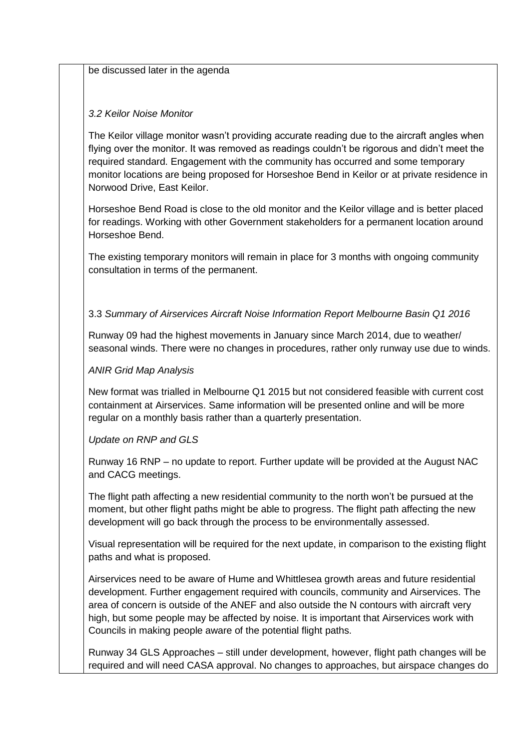be discussed later in the agenda

#### *3.2 Keilor Noise Monitor*

The Keilor village monitor wasn't providing accurate reading due to the aircraft angles when flying over the monitor. It was removed as readings couldn't be rigorous and didn't meet the required standard. Engagement with the community has occurred and some temporary monitor locations are being proposed for Horseshoe Bend in Keilor or at private residence in Norwood Drive, East Keilor.

Horseshoe Bend Road is close to the old monitor and the Keilor village and is better placed for readings. Working with other Government stakeholders for a permanent location around Horseshoe Bend.

The existing temporary monitors will remain in place for 3 months with ongoing community consultation in terms of the permanent.

#### 3.3 *Summary of Airservices Aircraft Noise Information Report Melbourne Basin Q1 2016*

Runway 09 had the highest movements in January since March 2014, due to weather/ seasonal winds. There were no changes in procedures, rather only runway use due to winds.

#### *ANIR Grid Map Analysis*

New format was trialled in Melbourne Q1 2015 but not considered feasible with current cost containment at Airservices. Same information will be presented online and will be more regular on a monthly basis rather than a quarterly presentation.

#### *Update on RNP and GLS*

Runway 16 RNP – no update to report. Further update will be provided at the August NAC and CACG meetings.

The flight path affecting a new residential community to the north won't be pursued at the moment, but other flight paths might be able to progress. The flight path affecting the new development will go back through the process to be environmentally assessed.

Visual representation will be required for the next update, in comparison to the existing flight paths and what is proposed.

Airservices need to be aware of Hume and Whittlesea growth areas and future residential development. Further engagement required with councils, community and Airservices. The area of concern is outside of the ANEF and also outside the N contours with aircraft very high, but some people may be affected by noise. It is important that Airservices work with Councils in making people aware of the potential flight paths.

Runway 34 GLS Approaches – still under development, however, flight path changes will be required and will need CASA approval. No changes to approaches, but airspace changes do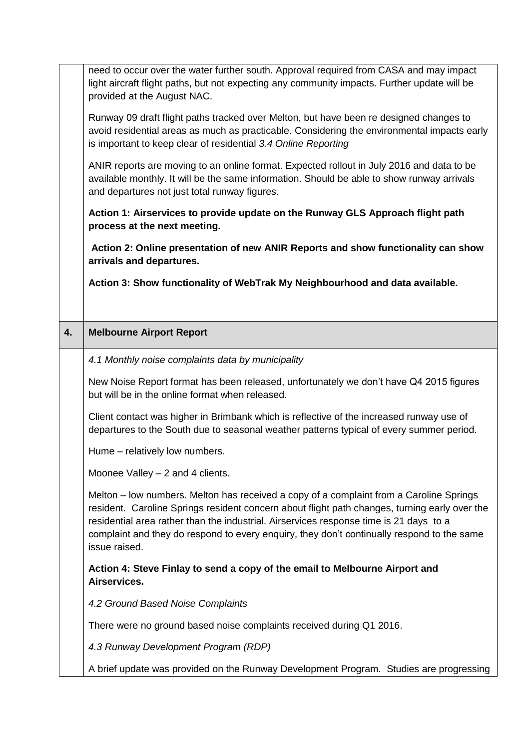|    | need to occur over the water further south. Approval required from CASA and may impact                                                                                                                                                                                                                                                                                                            |
|----|---------------------------------------------------------------------------------------------------------------------------------------------------------------------------------------------------------------------------------------------------------------------------------------------------------------------------------------------------------------------------------------------------|
|    | light aircraft flight paths, but not expecting any community impacts. Further update will be                                                                                                                                                                                                                                                                                                      |
|    | provided at the August NAC.                                                                                                                                                                                                                                                                                                                                                                       |
|    | Runway 09 draft flight paths tracked over Melton, but have been re designed changes to<br>avoid residential areas as much as practicable. Considering the environmental impacts early<br>is important to keep clear of residential 3.4 Online Reporting                                                                                                                                           |
|    | ANIR reports are moving to an online format. Expected rollout in July 2016 and data to be<br>available monthly. It will be the same information. Should be able to show runway arrivals<br>and departures not just total runway figures.                                                                                                                                                          |
|    | Action 1: Airservices to provide update on the Runway GLS Approach flight path<br>process at the next meeting.                                                                                                                                                                                                                                                                                    |
|    | Action 2: Online presentation of new ANIR Reports and show functionality can show<br>arrivals and departures.                                                                                                                                                                                                                                                                                     |
|    | Action 3: Show functionality of WebTrak My Neighbourhood and data available.                                                                                                                                                                                                                                                                                                                      |
|    |                                                                                                                                                                                                                                                                                                                                                                                                   |
|    |                                                                                                                                                                                                                                                                                                                                                                                                   |
| 4. | <b>Melbourne Airport Report</b>                                                                                                                                                                                                                                                                                                                                                                   |
|    | 4.1 Monthly noise complaints data by municipality                                                                                                                                                                                                                                                                                                                                                 |
|    | New Noise Report format has been released, unfortunately we don't have Q4 2015 figures<br>but will be in the online format when released.                                                                                                                                                                                                                                                         |
|    | Client contact was higher in Brimbank which is reflective of the increased runway use of<br>departures to the South due to seasonal weather patterns typical of every summer period.                                                                                                                                                                                                              |
|    | Hume – relatively low numbers.                                                                                                                                                                                                                                                                                                                                                                    |
|    | Moonee Valley - 2 and 4 clients.                                                                                                                                                                                                                                                                                                                                                                  |
|    | Melton – low numbers. Melton has received a copy of a complaint from a Caroline Springs<br>resident. Caroline Springs resident concern about flight path changes, turning early over the<br>residential area rather than the industrial. Airservices response time is 21 days to a<br>complaint and they do respond to every enquiry, they don't continually respond to the same<br>issue raised. |
|    | Action 4: Steve Finlay to send a copy of the email to Melbourne Airport and<br>Airservices.                                                                                                                                                                                                                                                                                                       |
|    | 4.2 Ground Based Noise Complaints                                                                                                                                                                                                                                                                                                                                                                 |
|    | There were no ground based noise complaints received during Q1 2016.                                                                                                                                                                                                                                                                                                                              |
|    | 4.3 Runway Development Program (RDP)                                                                                                                                                                                                                                                                                                                                                              |
|    |                                                                                                                                                                                                                                                                                                                                                                                                   |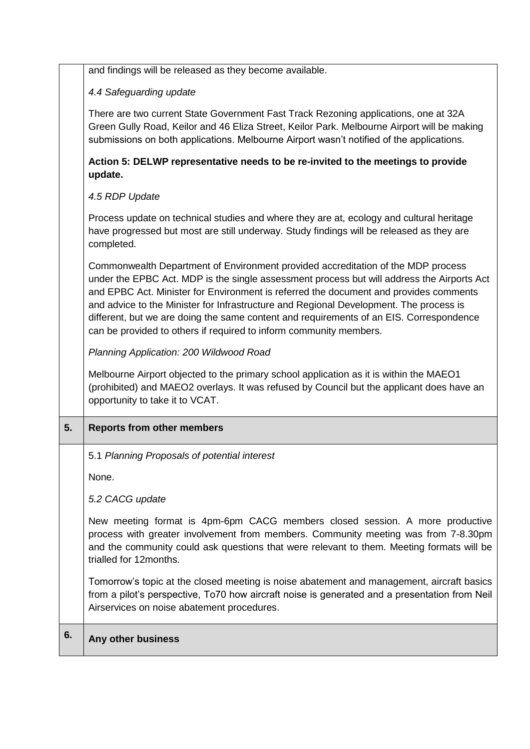| and findings will be released as they become available. |
|---------------------------------------------------------|
|---------------------------------------------------------|

#### *4.4 Safeguarding update*

There are two current State Government Fast Track Rezoning applications, one at 32A Green Gully Road, Keilor and 46 Eliza Street, Keilor Park. Melbourne Airport will be making submissions on both applications. Melbourne Airport wasn't notified of the applications.

### **Action 5: DELWP representative needs to be re-invited to the meetings to provide update.**

### *4.5 RDP Update*

Process update on technical studies and where they are at, ecology and cultural heritage have progressed but most are still underway. Study findings will be released as they are completed.

Commonwealth Department of Environment provided accreditation of the MDP process under the EPBC Act. MDP is the single assessment process but will address the Airports Act and EPBC Act. Minister for Environment is referred the document and provides comments and advice to the Minister for Infrastructure and Regional Development. The process is different, but we are doing the same content and requirements of an EIS. Correspondence can be provided to others if required to inform community members.

*Planning Application: 200 Wildwood Road*

Melbourne Airport objected to the primary school application as it is within the MAEO1 (prohibited) and MAEO2 overlays. It was refused by Council but the applicant does have an opportunity to take it to VCAT.

## **5. Reports from other members**

5.1 *Planning Proposals of potential interest*

None.

*5.2 CACG update*

New meeting format is 4pm-6pm CACG members closed session. A more productive process with greater involvement from members. Community meeting was from 7-8.30pm and the community could ask questions that were relevant to them. Meeting formats will be trialled for 12months.

Tomorrow's topic at the closed meeting is noise abatement and management, aircraft basics from a pilot's perspective, To70 how aircraft noise is generated and a presentation from Neil Airservices on noise abatement procedures.

## **6. Any other business**